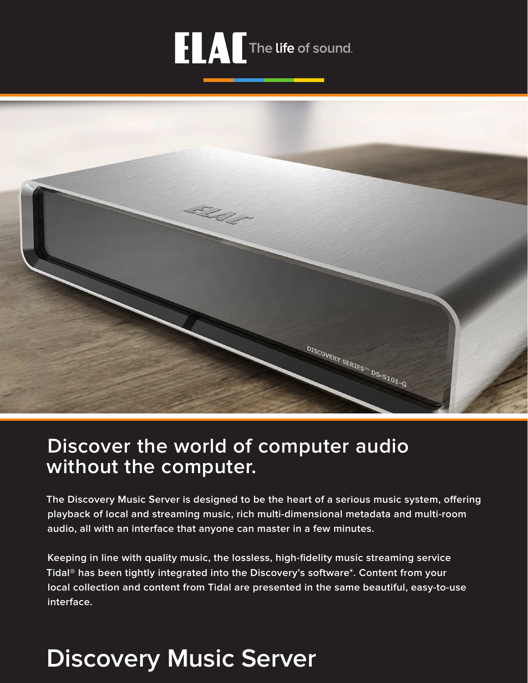# **FLAT** The life of sound.



## **Discover the world of computer audio without the computer.**

**The Discovery Music Server is designed to be the heart of a serious music system, offering playback of local and streaming music, rich multi-dimensional metadata and multi-room audio, all with an interface that anyone can master in a few minutes.**

**Keeping in line with quality music, the lossless, high-fidelity music streaming service Tidal® has been tightly integrated into the Discovery's software\*. Content from your local collection and content from Tidal are presented in the same beautiful, easy-to-use interface.**

## **Discovery Music Server**